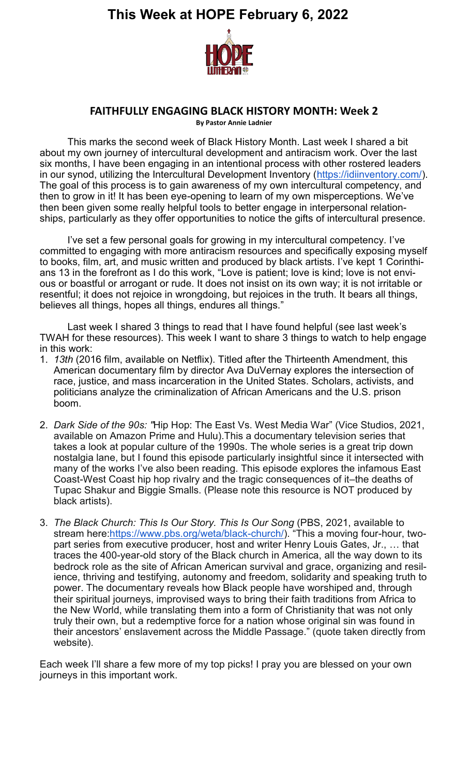

#### **FAITHFULLY ENGAGING BLACK HISTORY MONTH: Week 2**

**By Pastor Annie Ladnier**

This marks the second week of Black History Month. Last week I shared a bit about my own journey of intercultural development and antiracism work. Over the last six months, I have been engaging in an intentional process with other rostered leaders in our synod, utilizing the Intercultural Development Inventory (https://idiinventory.com/). The goal of this process is to gain awareness of my own intercultural competency, and then to grow in it! It has been eye-opening to learn of my own misperceptions. We've then been given some really helpful tools to better engage in interpersonal relationships, particularly as they offer opportunities to notice the gifts of intercultural presence.

I've set a few personal goals for growing in my intercultural competency. I've committed to engaging with more antiracism resources and specifically exposing myself to books, film, art, and music written and produced by black artists. I've kept 1 Corinthians 13 in the forefront as I do this work, "Love is patient; love is kind; love is not envious or boastful or arrogant or rude. It does not insist on its own way; it is not irritable or resentful; it does not rejoice in wrongdoing, but rejoices in the truth. It bears all things, believes all things, hopes all things, endures all things."

Last week I shared 3 things to read that I have found helpful (see last week's TWAH for these resources). This week I want to share 3 things to watch to help engage in this work:

- 1. *13th* (2016 film, available on Netflix). Titled after the Thirteenth Amendment, this American documentary film by director Ava DuVernay explores the intersection of race, justice, and mass incarceration in the United States. Scholars, activists, and politicians analyze the criminalization of African Americans and the U.S. prison boom.
- 2. *Dark Side of the 90s: "*Hip Hop: The East Vs. West Media War" (Vice Studios, 2021, available on Amazon Prime and Hulu).This a documentary television series that takes a look at popular culture of the 1990s. The whole series is a great trip down nostalgia lane, but I found this episode particularly insightful since it intersected with many of the works I've also been reading. This episode explores the infamous East Coast-West Coast hip hop rivalry and the tragic consequences of it–the deaths of Tupac Shakur and Biggie Smalls. (Please note this resource is NOT produced by black artists).
- 3. *The Black Church: This Is Our Story. This Is Our Song* (PBS, 2021, available to stream here:https://www.pbs.org/weta/black-church/). "This a moving four-hour, twopart series from executive producer, host and writer Henry Louis Gates, Jr., … that traces the 400-year-old story of the Black church in America, all the way down to its bedrock role as the site of African American survival and grace, organizing and resilience, thriving and testifying, autonomy and freedom, solidarity and speaking truth to power. The documentary reveals how Black people have worshiped and, through their spiritual journeys, improvised ways to bring their faith traditions from Africa to the New World, while translating them into a form of Christianity that was not only truly their own, but a redemptive force for a nation whose original sin was found in their ancestors' enslavement across the Middle Passage." (quote taken directly from website).

Each week I'll share a few more of my top picks! I pray you are blessed on your own journeys in this important work.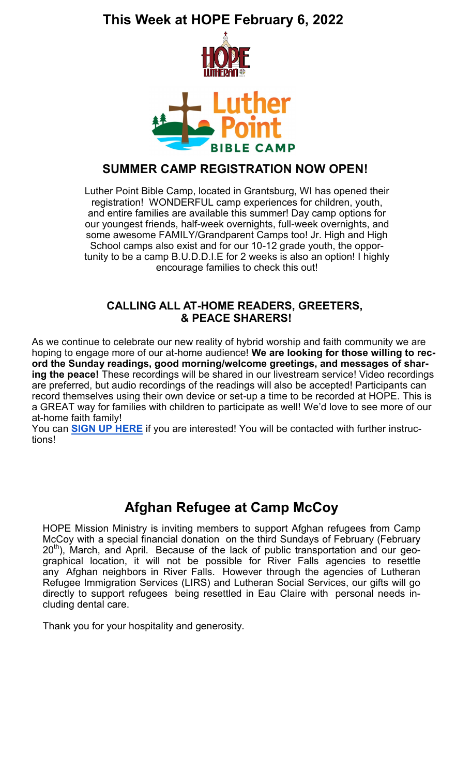

#### **SUMMER CAMP REGISTRATION NOW OPEN!**

Luther Point Bible Camp, located in Grantsburg, WI has opened their registration! WONDERFUL camp experiences for children, youth, and entire families are available this summer! Day camp options for our youngest friends, half-week overnights, full-week overnights, and some awesome FAMILY/Grandparent Camps too! Jr. High and High School camps also exist and for our 10-12 grade youth, the opportunity to be a camp B.U.D.D.I.E for 2 weeks is also an option! I highly encourage families to check this out!

#### **CALLING ALL AT-HOME READERS, GREETERS, & PEACE SHARERS!**

As we continue to celebrate our new reality of hybrid worship and faith community we are hoping to engage more of our at-home audience! **We are looking for those willing to record the Sunday readings, good morning/welcome greetings, and messages of sharing the peace!** These recordings will be shared in our livestream service! Video recordings are preferred, but audio recordings of the readings will also be accepted! Participants can record themselves using their own device or set-up a time to be recorded at HOPE. This is a GREAT way for families with children to participate as well! We'd love to see more of our at-home faith family!

You can **SIGN UP HERE** if you are interested! You will be contacted with further instructions!

# **Afghan Refugee at Camp McCoy**

HOPE Mission Ministry is inviting members to support Afghan refugees from Camp McCoy with a special financial donation on the third Sundays of February (February  $20<sup>th</sup>$ ), March, and April. Because of the lack of public transportation and our geographical location, it will not be possible for River Falls agencies to resettle any Afghan neighbors in River Falls. However through the agencies of Lutheran Refugee Immigration Services (LIRS) and Lutheran Social Services, our gifts will go directly to support refugees being resettled in Eau Claire with personal needs including dental care.

Thank you for your hospitality and generosity.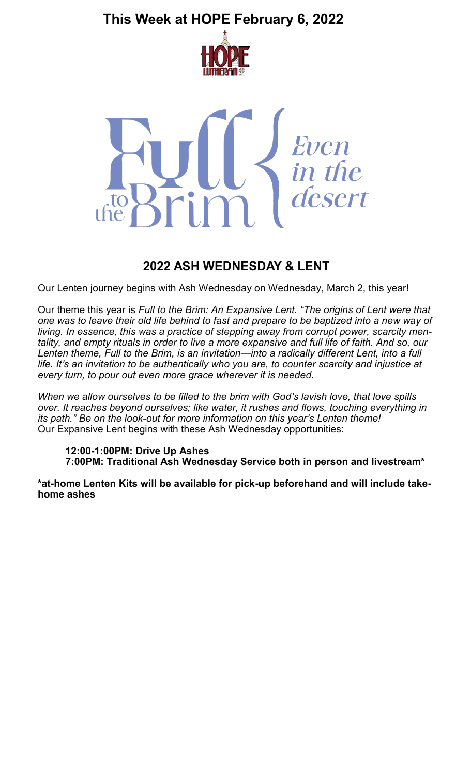



#### **2022 ASH WEDNESDAY & LENT**

Our Lenten journey begins with Ash Wednesday on Wednesday, March 2, this year!

Our theme this year is *Full to the Brim: An Expansive Lent. "The origins of Lent were that one was to leave their old life behind to fast and prepare to be baptized into a new way of living. In essence, this was a practice of stepping away from corrupt power, scarcity mentality, and empty rituals in order to live a more expansive and full life of faith. And so, our Lenten theme, Full to the Brim, is an invitation—into a radically different Lent, into a full life. It's an invitation to be authentically who you are, to counter scarcity and injustice at every turn, to pour out even more grace wherever it is needed.* 

*When we allow ourselves to be filled to the brim with God's lavish love, that love spills over. It reaches beyond ourselves; like water, it rushes and flows, touching everything in its path." Be on the look-out for more information on this year's Lenten theme!* Our Expansive Lent begins with these Ash Wednesday opportunities:

**12:00-1:00PM: Drive Up Ashes 7:00PM: Traditional Ash Wednesday Service both in person and livestream\***

**\*at-home Lenten Kits will be available for pick-up beforehand and will include takehome ashes**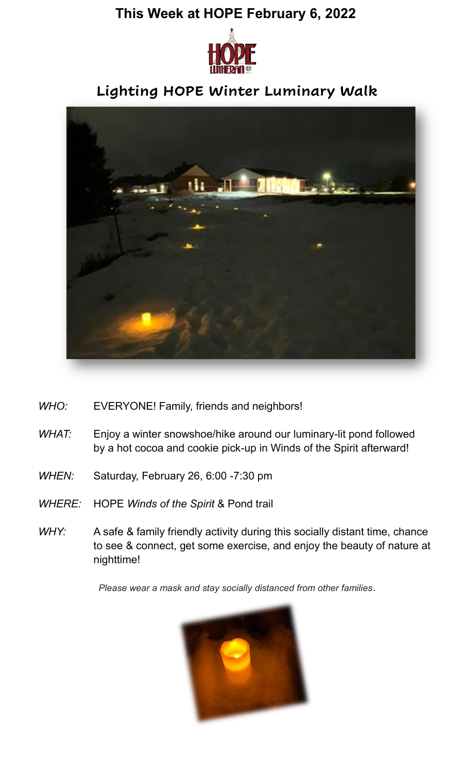

# **Lighting HOPE Winter Luminary Walk**



- *WHO:* EVERYONE! Family, friends and neighbors!
- *WHAT:* Enjoy a winter snowshoe/hike around our luminary-lit pond followed by a hot cocoa and cookie pick-up in Winds of the Spirit afterward!
- *WHEN:* Saturday, February 26, 6:00 -7:30 pm
- *WHERE:* HOPE *Winds of the Spirit* & Pond trail
- *WHY:* A safe & family friendly activity during this socially distant time, chance to see & connect, get some exercise, and enjoy the beauty of nature at nighttime!

*Please wear a mask and stay socially distanced from other families*.

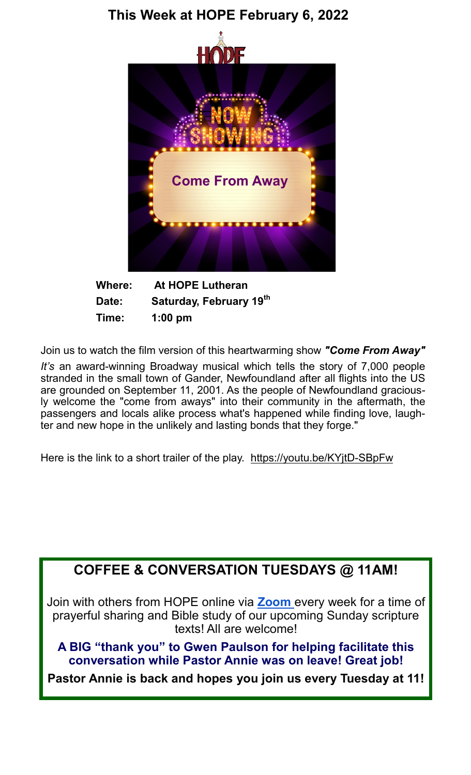

**Where: At HOPE Lutheran Date: Saturday, February 19th Time: 1:00 pm**

Join us to watch the film version of this heartwarming show *"Come From Away"*

*It's* an award-winning Broadway musical which tells the story of 7,000 people stranded in the small town of Gander, Newfoundland after all flights into the US are grounded on September 11, 2001. As the people of Newfoundland graciously welcome the "come from aways" into their community in the aftermath, the passengers and locals alike process what's happened while finding love, laughter and new hope in the unlikely and lasting bonds that they forge."

Here is the link to a short trailer of the play. https://youtu.be/KYjtD-SBpFw

# **COFFEE & CONVERSATION TUESDAYS @ 11AM!**

Join with others from HOPE online via **Zoom** every week for a time of prayerful sharing and Bible study of our upcoming Sunday scripture texts! All are welcome!

**A BIG "thank you" to Gwen Paulson for helping facilitate this conversation while Pastor Annie was on leave! Great job!** 

**Pastor Annie is back and hopes you join us every Tuesday at 11!**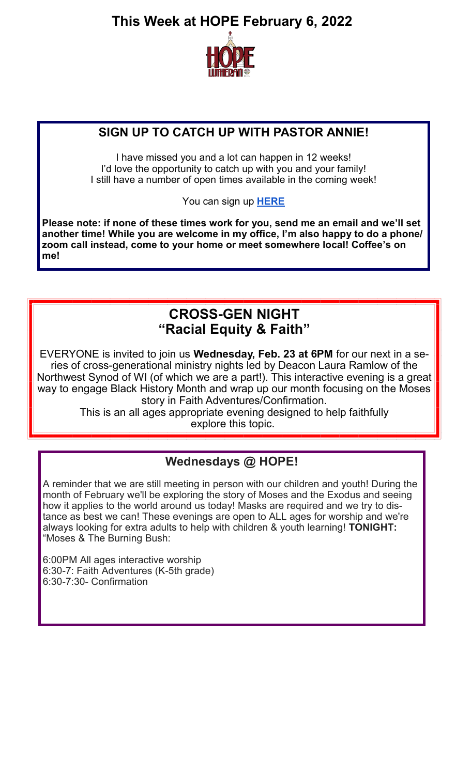

### **SIGN UP TO CATCH UP WITH PASTOR ANNIE!**

I have missed you and a lot can happen in 12 weeks! I'd love the opportunity to catch up with you and your family! I still have a number of open times available in the coming week!

You can sign up **HERE**

**Please note: if none of these times work for you, send me an email and we'll set another time! While you are welcome in my office, I'm also happy to do a phone/ zoom call instead, come to your home or meet somewhere local! Coffee's on me!** 

### **CROSS-GEN NIGHT "Racial Equity & Faith"**

EVERYONE is invited to join us **Wednesday, Feb. 23 at 6PM** for our next in a series of cross-generational ministry nights led by Deacon Laura Ramlow of the Northwest Synod of WI (of which we are a part!). This interactive evening is a great way to engage Black History Month and wrap up our month focusing on the Moses story in Faith Adventures/Confirmation.

This is an all ages appropriate evening designed to help faithfully explore this topic.

### **Wednesdays @ HOPE!**

A reminder that we are still meeting in person with our children and youth! During the month of February we'll be exploring the story of Moses and the Exodus and seeing how it applies to the world around us today! Masks are required and we try to distance as best we can! These evenings are open to ALL ages for worship and we're always looking for extra adults to help with children & youth learning! **TONIGHT:**  "Moses & The Burning Bush:

6:00PM All ages interactive worship 6:30-7: Faith Adventures (K-5th grade) 6:30-7:30- Confirmation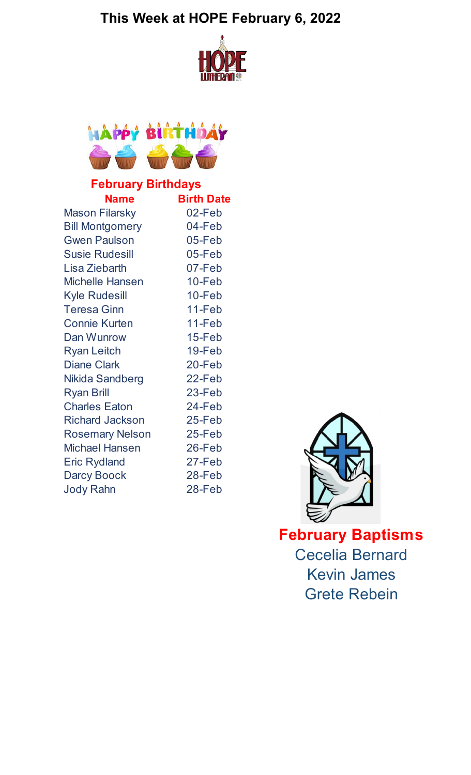



# **February Birthdays**

| <b>Name</b>            | <b>Birth Date</b> |
|------------------------|-------------------|
| <b>Mason Filarsky</b>  | 02-Feb            |
| <b>Bill Montgomery</b> | 04-Feb            |
| <b>Gwen Paulson</b>    | 05-Feb            |
| <b>Susie Rudesill</b>  | 05-Feb            |
| Lisa Ziebarth          | 07-Feb            |
| <b>Michelle Hansen</b> | $10 - Feb$        |
| <b>Kyle Rudesill</b>   | 10-Feb            |
| <b>Teresa Ginn</b>     | 11-Feb            |
| <b>Connie Kurten</b>   | 11-Feb            |
| Dan Wunrow             | $15 - Feb$        |
| <b>Ryan Leitch</b>     | 19-Feb            |
| <b>Diane Clark</b>     | 20-Feb            |
| Nikida Sandberg        | 22-Feb            |
| <b>Ryan Brill</b>      | 23-Feb            |
| <b>Charles Eaton</b>   | 24-Feb            |
| <b>Richard Jackson</b> | 25-Feb            |
| <b>Rosemary Nelson</b> | 25-Feb            |
| <b>Michael Hansen</b>  | 26-Feb            |
| <b>Eric Rydland</b>    | 27-Feb            |
| <b>Darcy Boock</b>     | 28-Feb            |
| <b>Jody Rahn</b>       | 28-Feb            |



**February Baptisms** Cecelia Bernard Kevin James Grete Rebein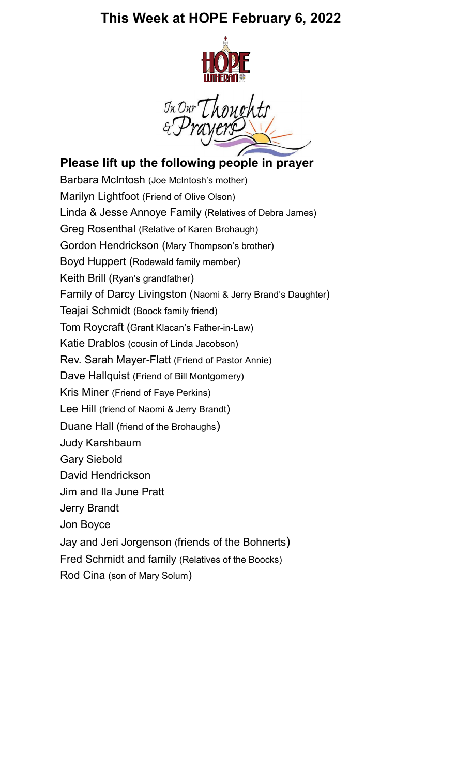

In Our Though

### **Please lift up the following people in prayer**

Barbara McIntosh (Joe McIntosh's mother) Marilyn Lightfoot (Friend of Olive Olson) Linda & Jesse Annoye Family (Relatives of Debra James) Greg Rosenthal (Relative of Karen Brohaugh) Gordon Hendrickson (Mary Thompson's brother) Boyd Huppert (Rodewald family member) Keith Brill (Ryan's grandfather) Family of Darcy Livingston (Naomi & Jerry Brand's Daughter) Teajai Schmidt (Boock family friend) Tom Roycraft (Grant Klacan's Father-in-Law) Katie Drablos (cousin of Linda Jacobson) Rev. Sarah Mayer-Flatt (Friend of Pastor Annie) Dave Hallquist (Friend of Bill Montgomery) Kris Miner (Friend of Faye Perkins) Lee Hill (friend of Naomi & Jerry Brandt) Duane Hall (friend of the Brohaughs) Judy Karshbaum Gary Siebold David Hendrickson Jim and Ila June Pratt Jerry Brandt Jon Boyce Jay and Jeri Jorgenson (friends of the Bohnerts) Fred Schmidt and family (Relatives of the Boocks) Rod Cina (son of Mary Solum)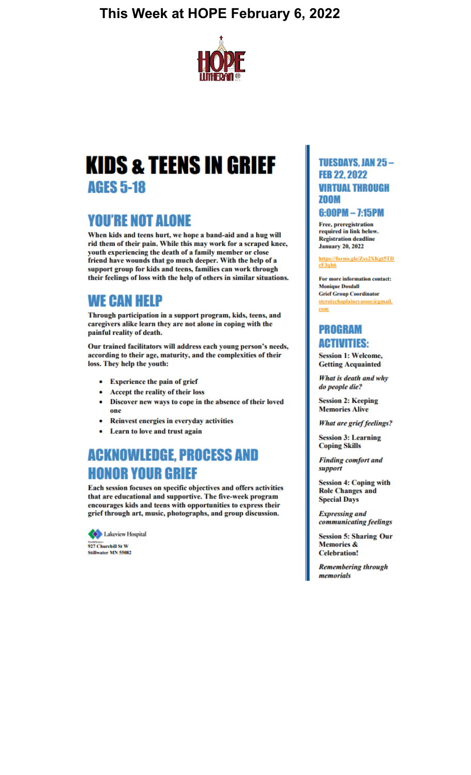

# **KIDS & TEENS IN GRIEF AGES 5-18**

## **YOU'RE NOT ALONE**

When kids and teens hurt, we hope a band-aid and a hug will rid them of their pain. While this may work for a scraped knee, youth experiencing the death of a family member or close friend have wounds that go much deeper. With the help of a support group for kids and teens, families can work through their feelings of loss with the help of others in similar situations.

### **WE CAN HELP**

Through participation in a support program, kids, teens, and caregivers alike learn they are not alone in coping with the painful reality of death.

Our trained facilitators will address each young person's needs, according to their age, maturity, and the complexities of their loss. They help the youth:

- **Experience the pain of grief**
- Accept the reality of their loss
- Discover new ways to cope in the absence of their loved one
- Reinvest energies in everyday activities
- Learn to love and trust again

# **ACKNOWLEDGE, PROCESS AND HONOR YOUR GRIEF**

Each session focuses on specific objectives and offers activities that are educational and supportive. The five-week program encourages kids and teens with opportunities to express their grief through art, music, photographs, and group discussion.



#### **TUESDAYS, JAN 25-FEB 22.2022** *VIRTUAL THROUGH* ZOOM

#### $6:00PM - 7:15PM$

Free, preregistration required in link below. **Registration deadline January 20, 2022** 

https://forms.gle/Zsx2XKgt5TD  $cF3qh6$ 

For more information contact: **Monique Dosdall Grief Group Coordinator** stcroixchaplaincyassoc@gmail. com

#### **PROGRAM ACTIVITIES:**

**Session 1: Welcome, Getting Acquainted** 

What is death and why do people die?

**Session 2: Keeping Memories Alive** 

**What are grief feelings?** 

**Session 3: Learning Coping Skills** 

**Finding comfort and** support

**Session 4: Coping with Role Changes and Special Days** 

**Expressing and** communicating feelings

**Session 5: Sharing Our Memories & Celebration!** 

**Remembering through** memorials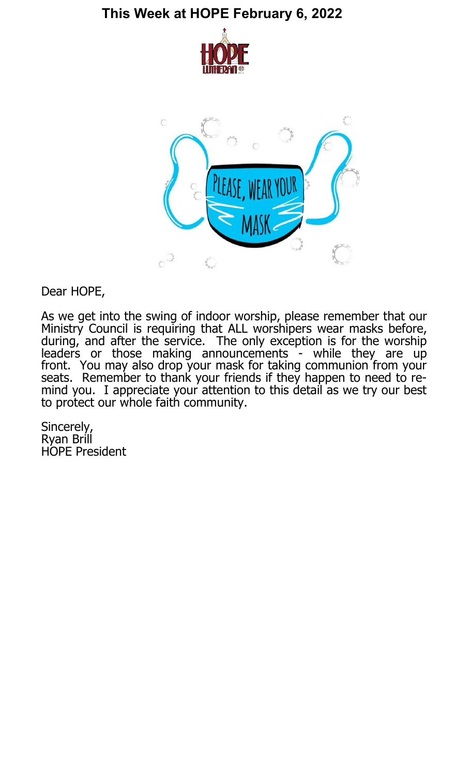



Dear HOPE,

As we get into the swing of indoor worship, please remember that our Ministry Council is requiring that ALL worshipers wear masks before, during, and after the service. The only exception is for the worship leaders or those making announcements - while they are up front. You may also drop your mask for taking communion from your seats. Remember to thank your friends if they happen to need to remind you. I appreciate your attention to this detail as we try our best to protect our whole faith community.

Sincerely, Ryan Brill HOPE President